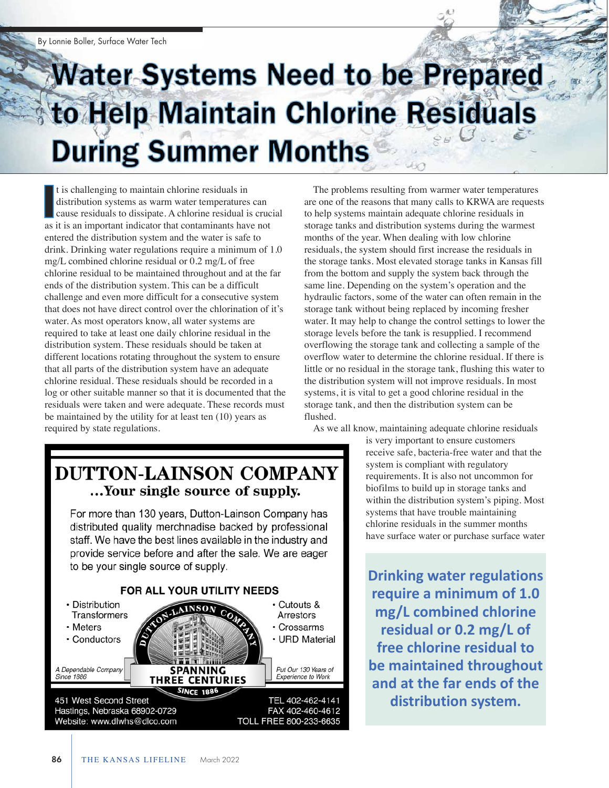## **Water Systems Need to be Prepared** to Help Maintain Chlorine Residuals **During Summer Months**

t is challenging to maintain chlorine residuals in distribution systems as warm water temperatures can cause residuals to dissipate. A chlorine residual is crucial as it is an important indicator that contaminants have not entered the distribution system and the water is safe to drink. Drinking water regulations require a minimum of 1.0 mg/L combined chlorine residual or 0.2 mg/L of free chlorine residual to be maintained throughout and at the far ends of the distribution system. This can be a difficult challenge and even more difficult for a consecutive system that does not have direct control over the chlorination of it's water. As most operators know, all water systems are required to take at least one daily chlorine residual in the distribution system. These residuals should be taken at different locations rotating throughout the system to ensure that all parts of the distribution system have an adequate chlorine residual. These residuals should be recorded in a log or other suitable manner so that it is documented that the residuals were taken and were adequate. These records must be maintained by the utility for at least ten (10) years as required by state regulations. I

The problems resulting from warmer water temperatures are one of the reasons that many calls to KRWA are requests to help systems maintain adequate chlorine residuals in storage tanks and distribution systems during the warmest months of the year. When dealing with low chlorine residuals, the system should first increase the residuals in the storage tanks. Most elevated storage tanks in Kansas fill from the bottom and supply the system back through the same line. Depending on the system's operation and the hydraulic factors, some of the water can often remain in the storage tank without being replaced by incoming fresher water. It may help to change the control settings to lower the storage levels before the tank is resupplied. I recommend overflowing the storage tank and collecting a sample of the overflow water to determine the chlorine residual. If there is little or no residual in the storage tank, flushing this water to the distribution system will not improve residuals. In most systems, it is vital to get a good chlorine residual in the storage tank, and then the distribution system can be flushed.

As we all know, maintaining adequate chlorine residuals

is very important to ensure customers receive safe, bacteria-free water and that the system is compliant with regulatory requirements. It is also not uncommon for biofilms to build up in storage tanks and within the distribution system's piping. Most systems that have trouble maintaining chlorine residuals in the summer months have surface water or purchase surface water

**Drinking water regulations require a minimum of 1.0 mg/L combined chlorine residual or 0.2 mg/L of free chlorine residual to be maintained throughout and at the far ends of the distribution system.** 

## **DUTTON-LAINSON COMPANY** ...Your single source of supply.

For more than 130 years, Dutton-Lainson Company has distributed quality merchnadise backed by professional staff. We have the best lines available in the industry and provide service before and after the sale. We are eager to be your single source of supply.